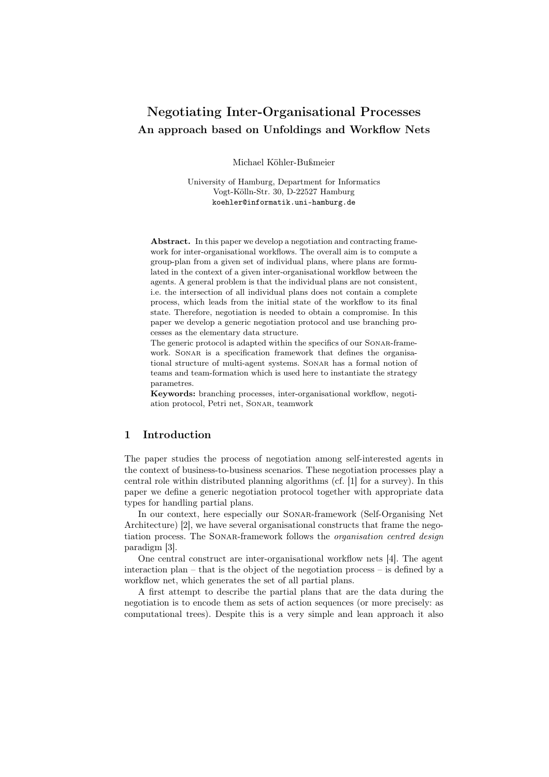# Negotiating Inter-Organisational Processes An approach based on Unfoldings and Workflow Nets

Michael Köhler-Bußmeier

University of Hamburg, Department for Informatics Vogt-Kölln-Str. 30, D-22527 Hamburg koehler@informatik.uni-hamburg.de

Abstract. In this paper we develop a negotiation and contracting framework for inter-organisational workflows. The overall aim is to compute a group-plan from a given set of individual plans, where plans are formulated in the context of a given inter-organisational workflow between the agents. A general problem is that the individual plans are not consistent, i.e. the intersection of all individual plans does not contain a complete process, which leads from the initial state of the workflow to its final state. Therefore, negotiation is needed to obtain a compromise. In this paper we develop a generic negotiation protocol and use branching processes as the elementary data structure.

The generic protocol is adapted within the specifics of our Sonar-framework. SONAR is a specification framework that defines the organisational structure of multi-agent systems. Sonar has a formal notion of teams and team-formation which is used here to instantiate the strategy parametres.

Keywords: branching processes, inter-organisational workflow, negotiation protocol, Petri net, Sonar, teamwork

# 1 Introduction

The paper studies the process of negotiation among self-interested agents in the context of business-to-business scenarios. These negotiation processes play a central role within distributed planning algorithms (cf. [1] for a survey). In this paper we define a generic negotiation protocol together with appropriate data types for handling partial plans.

In our context, here especially our Sonar-framework (Self-Organising Net Architecture) [2], we have several organisational constructs that frame the negotiation process. The Sonar-framework follows the *organisation centred design* paradigm [3].

One central construct are inter-organisational workflow nets [4]. The agent interaction plan – that is the object of the negotiation process – is defined by a workflow net, which generates the set of all partial plans.

A first attempt to describe the partial plans that are the data during the negotiation is to encode them as sets of action sequences (or more precisely: as computational trees). Despite this is a very simple and lean approach it also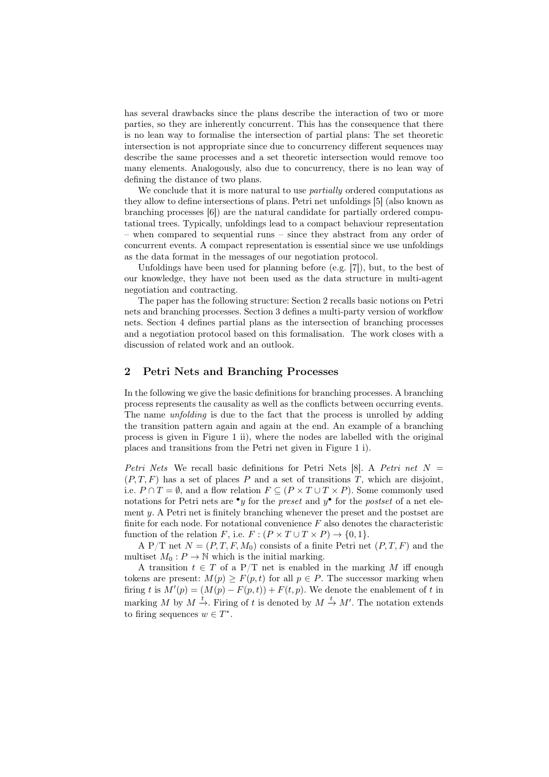has several drawbacks since the plans describe the interaction of two or more parties, so they are inherently concurrent. This has the consequence that there is no lean way to formalise the intersection of partial plans: The set theoretic intersection is not appropriate since due to concurrency different sequences may describe the same processes and a set theoretic intersection would remove too many elements. Analogously, also due to concurrency, there is no lean way of defining the distance of two plans.

We conclude that it is more natural to use *partially* ordered computations as they allow to define intersections of plans. Petri net unfoldings [5] (also known as branching processes [6]) are the natural candidate for partially ordered computational trees. Typically, unfoldings lead to a compact behaviour representation – when compared to sequential runs – since they abstract from any order of concurrent events. A compact representation is essential since we use unfoldings as the data format in the messages of our negotiation protocol.

Unfoldings have been used for planning before (e.g. [7]), but, to the best of our knowledge, they have not been used as the data structure in multi-agent negotiation and contracting.

The paper has the following structure: Section 2 recalls basic notions on Petri nets and branching processes. Section 3 defines a multi-party version of workflow nets. Section 4 defines partial plans as the intersection of branching processes and a negotiation protocol based on this formalisation. The work closes with a discussion of related work and an outlook.

### 2 Petri Nets and Branching Processes

In the following we give the basic definitions for branching processes. A branching process represents the causality as well as the conflicts between occurring events. The name *unfolding* is due to the fact that the process is unrolled by adding the transition pattern again and again at the end. An example of a branching process is given in Figure 1 ii), where the nodes are labelled with the original places and transitions from the Petri net given in Figure 1 i).

*Petri Nets* We recall basic definitions for Petri Nets [8]. A *Petri net* N =  $(P, T, F)$  has a set of places P and a set of transitions T, which are disjoint, i.e.  $P \cap T = \emptyset$ , and a flow relation  $F \subseteq (P \times T \cup T \times P)$ . Some commonly used notations for Petri nets are •y for the *preset* and y • for the *postset* of a net element  $y$ . A Petri net is finitely branching whenever the preset and the postset are finite for each node. For notational convenience  $F$  also denotes the characteristic function of the relation F, i.e.  $F : (P \times T \cup T \times P) \rightarrow \{0, 1\}.$ 

A P/T net  $N = (P, T, F, M_0)$  consists of a finite Petri net  $(P, T, F)$  and the multiset  $M_0: P \to \mathbb{N}$  which is the initial marking.

A transition  $t \in T$  of a P/T net is enabled in the marking M iff enough tokens are present:  $M(p) \geq F(p, t)$  for all  $p \in P$ . The successor marking when firing t is  $M'(p) = (M(p) - F(p, t)) + F(t, p)$ . We denote the enablement of t in marking M by  $M \stackrel{t}{\rightarrow}$ . Firing of t is denoted by  $M \stackrel{t}{\rightarrow} M'$ . The notation extends to firing sequences  $w \in T^*$ .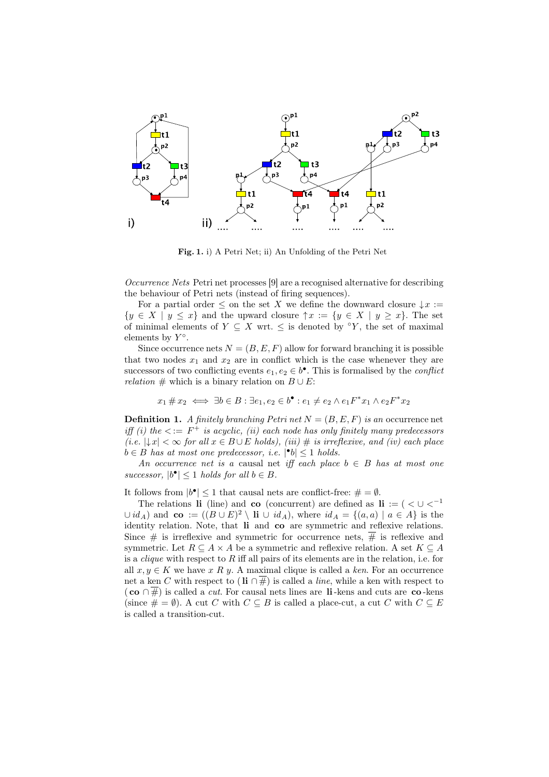

Fig. 1. i) A Petri Net; ii) An Unfolding of the Petri Net

*Occurrence Nets* Petri net processes [9] are a recognised alternative for describing the behaviour of Petri nets (instead of firing sequences).

For a partial order  $\leq$  on the set X we define the downward closure  $\downarrow x :=$  $\{y \in X \mid y \leq x\}$  and the upward closure  $\uparrow x := \{y \in X \mid y \geq x\}$ . The set of minimal elements of  $Y \subseteq X$  wrt.  $\leq$  is denoted by °Y, the set of maximal elements by  $Y^{\circ}$ .

Since occurrence nets  $N = (B, E, F)$  allow for forward branching it is possible that two nodes  $x_1$  and  $x_2$  are in conflict which is the case whenever they are successors of two conflicting events  $e_1, e_2 \in b^{\bullet}$ . This is formalised by the *conflict relation*  $#$  which is a binary relation on  $B \cup E$ :

$$
x_1 \# x_2 \iff \exists b \in B : \exists e_1, e_2 \in b^{\bullet} : e_1 \neq e_2 \land e_1 F^* x_1 \land e_2 F^* x_2
$$

**Definition 1.** *A finitely branching Petri net*  $N = (B, E, F)$  *is an* occurrence net *iff (i)* the  $\lt := F^+$  *is acyclic, (ii)* each node has only finitely many predecessors  $(i.e. |↓x| < ∞ for all x ∈ B ∪ E holds),$  (iii)  $#$  *is irreflexive, and (iv) each place*  $b \in B$  has at most one predecessor, *i.e.*  $|\bullet b| \leq 1$  holds.

*An occurrence net is a causal net iff each place*  $b \in B$  *has at most one*  $successor, |b^{\bullet}| \leq 1$  *holds for all*  $b \in B$ .

It follows from  $|b^{\bullet}| \leq 1$  that causal nets are conflict-free:  $\# = \emptyset$ .

The relations li (line) and co (concurrent) are defined as li := (  $\lt U \lt^{-1}$  $\cup id_A$  and  $\mathbf{co} := ((B \cup E)^2 \setminus \mathbf{li} \cup id_A),$  where  $id_A = \{(a, a) \mid a \in A\}$  is the identity relation. Note, that li and co are symmetric and reflexive relations. Since # is irreflexive and symmetric for occurrence nets,  $\overline{\#}$  is reflexive and symmetric. Let  $R \subseteq A \times A$  be a symmetric and reflexive relation. A set  $K \subseteq A$ is a *clique* with respect to R iff all pairs of its elements are in the relation, i.e. for all  $x, y \in K$  we have x R y. A maximal clique is called a ken. For an occurrence net a ken C with respect to (li  $\cap \overline{\#}$ ) is called a *line*, while a ken with respect to  $(\mathbf{co} \cap \overline{\#})$  is called a *cut*. For causal nets lines are li-kens and cuts are co-kens (since  $\# = \emptyset$ ). A cut C with  $C \subseteq B$  is called a place-cut, a cut C with  $C \subseteq E$ is called a transition-cut.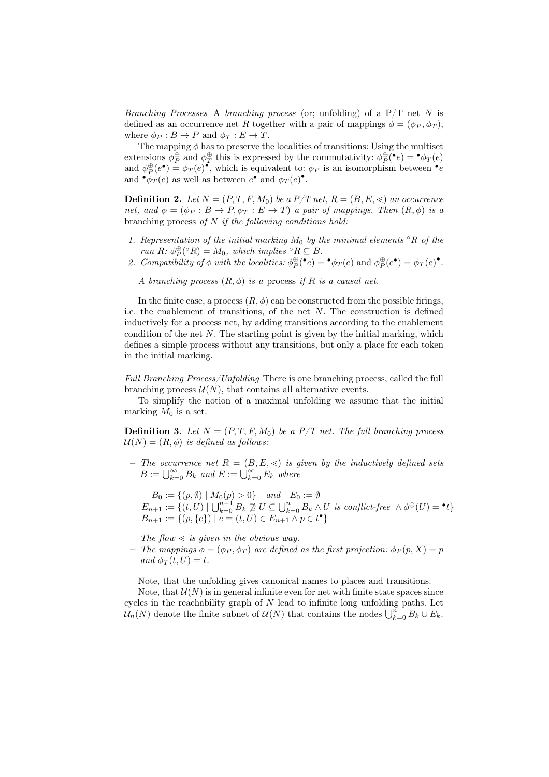*Branching Processes* A *branching process* (or; unfolding) of a P/T net N is defined as an occurrence net R together with a pair of mappings  $\phi = (\phi_P, \phi_T)$ , where  $\phi_P : B \to P$  and  $\phi_T : E \to T$ .

The mapping  $\phi$  has to preserve the localities of transitions: Using the multiset extensions  $\phi_P^{\oplus}$  and  $\phi_T^{\oplus}$  this is expressed by the commutativity:  $\phi_P^{\oplus}(\bullet_e) = \bullet \phi_T(e)$ and  $\phi^{\oplus}_{\uparrow}(e^{\bullet}) = \phi_T(e)^{\bullet}$ , which is equivalent to:  $\phi_P$  is an isomorphism between  $\bullet e$ and  $\bullet \phi_T(e)$  as well as between  $e^{\bullet}$  and  $\phi_T(e)^{\bullet}$ .

**Definition 2.** Let  $N = (P, T, F, M_0)$  be a  $P/T$  net,  $R = (B, E, \leq)$  an occurrence *net, and*  $\phi = (\phi_P : B \to P, \phi_T : E \to T)$  *a pair of mappings. Then*  $(R, \phi)$  *is a* branching process *of* N *if the following conditions hold:*

- *1. Representation of the initial marking*  $M_0$  *by the minimal elements*  $\Omega$  *of the run*  $R: \phi_P^{\oplus} ({}^{\circ}R) = M_0$ *, which implies*  ${}^{\circ}R \subseteq B$ *.*
- 2. Compatibility of  $\phi$  with the localities:  $\phi_P^{\oplus}(\mathbf{e}_e) = \mathbf{e}_{\mathcal{P}_P}(e)$  and  $\phi_P^{\oplus}(e^{\bullet}) = \phi_T(e)^{\bullet}$ .

*A* branching process  $(R, \phi)$  *is a* process *if* R *is a causal net.* 

In the finite case, a process  $(R, \phi)$  can be constructed from the possible firings, i.e. the enablement of transitions, of the net  $N$ . The construction is defined inductively for a process net, by adding transitions according to the enablement condition of the net  $N$ . The starting point is given by the initial marking, which defines a simple process without any transitions, but only a place for each token in the initial marking.

*Full Branching Process/Unfolding* There is one branching process, called the full branching process  $\mathcal{U}(N)$ , that contains all alternative events.

To simplify the notion of a maximal unfolding we assume that the initial marking  $M_0$  is a set.

**Definition 3.** Let  $N = (P, T, F, M_0)$  be a  $P/T$  net. The full branching process  $U(N) = (R, \phi)$  *is defined as follows:* 

 $-$  *The occurrence net*  $R = (B, E, \leq)$  *is given by the inductively defined sets*  $B := \bigcup_{k=0}^{\infty} B_k$  and  $E := \bigcup_{k=0}^{\infty} E_k$  where

 $B_0 := \{(p, \emptyset) \mid M_0(p) > 0\}$  *and*  $E_0 := \emptyset$  $E_{n+1} := \{(t, U) \mid \bigcup_{k=0}^{n-1} B_k \nsupseteq U \subseteq \bigcup_{k=0}^n B_k \wedge U \text{ is conflict-free } \wedge \phi^{\oplus}(U) = \bullet t\}$  $B_{n+1} := \{(p, \{e\}) \mid e = (t, U) \in E_{n+1} \land p \in t^{\bullet}\}\$ 

*The flow*  $\leq$  *is given in the obvious way.* 

– *The mappings*  $\phi = (\phi_P, \phi_T)$  *are defined as the first projection:*  $\phi_P(p, X) = p$  $and \phi_T(t,U) = t.$ 

Note, that the unfolding gives canonical names to places and transitions.

Note, that  $\mathcal{U}(N)$  is in general infinite even for net with finite state spaces since cycles in the reachability graph of  $N$  lead to infinite long unfolding paths. Let  $\mathcal{U}_n(N)$  denote the finite subnet of  $\mathcal{U}(N)$  that contains the nodes  $\bigcup_{k=0}^n B_k \cup E_k$ .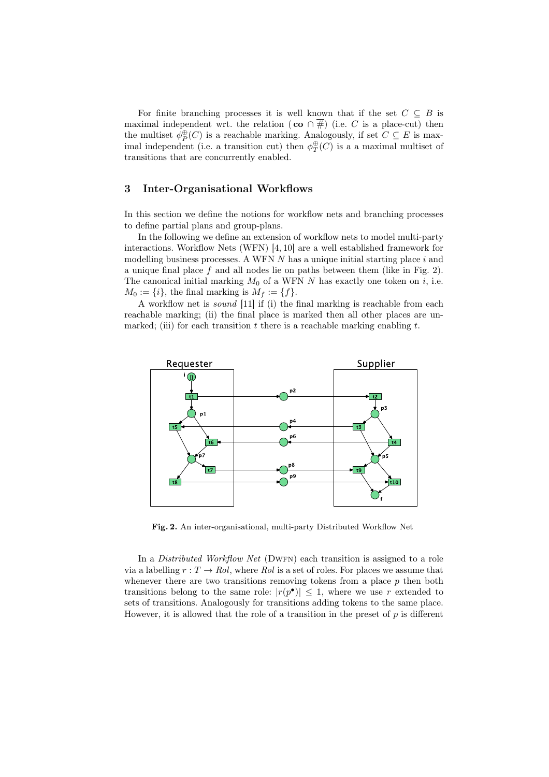For finite branching processes it is well known that if the set  $C \subseteq B$  is maximal independent wrt. the relation ( $\mathbf{co} \cap \#$ ) (i.e. C is a place-cut) then the multiset  $\phi_P^{\oplus}(C)$  is a reachable marking. Analogously, if set  $C \subseteq E$  is maximal independent (i.e. a transition cut) then  $\phi_T^{\oplus}(C)$  is a a maximal multiset of transitions that are concurrently enabled.

## 3 Inter-Organisational Workflows

In this section we define the notions for workflow nets and branching processes to define partial plans and group-plans.

In the following we define an extension of workflow nets to model multi-party interactions. Workflow Nets (WFN) [4, 10] are a well established framework for modelling business processes. A WFN  $N$  has a unique initial starting place i and a unique final place  $f$  and all nodes lie on paths between them (like in Fig. 2). The canonical initial marking  $M_0$  of a WFN N has exactly one token on i, i.e.  $M_0 := \{i\}$ , the final marking is  $M_f := \{f\}.$ 

A workflow net is *sound* [11] if (i) the final marking is reachable from each reachable marking; (ii) the final place is marked then all other places are unmarked; (iii) for each transition t there is a reachable marking enabling t.



Fig. 2. An inter-organisational, multi-party Distributed Workflow Net

In a *Distributed Workflow Net* (DWFN) each transition is assigned to a role via a labelling  $r: T \to \text{Rol}$ , where  $\text{Rol}$  is a set of roles. For places we assume that whenever there are two transitions removing tokens from a place  $p$  then both transitions belong to the same role:  $|r(p^{\bullet})| \leq 1$ , where we use r extended to sets of transitions. Analogously for transitions adding tokens to the same place. However, it is allowed that the role of a transition in the preset of  $p$  is different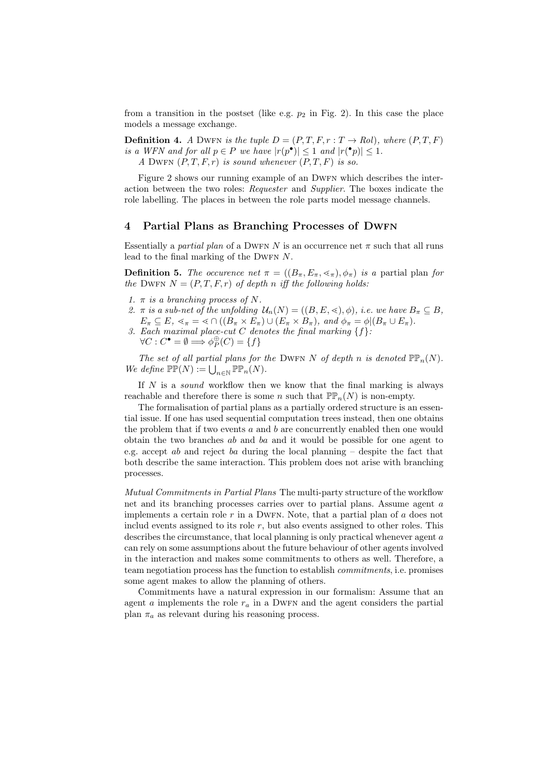from a transition in the postset (like e.g.  $p_2$  in Fig. 2). In this case the place models a message exchange.

**Definition 4.** *A* DWFN *is the tuple*  $D = (P, T, F, r : T \rightarrow \text{Roll})$ *, where*  $(P, T, F)$ *is a WFN and for all*  $p \in P$  *we have*  $|r(p^{\bullet})| \leq 1$  *and*  $|r({}^{\bullet}p)| \leq 1$ *. A* DWFN  $(P, T, F, r)$  *is sound whenever*  $(P, T, F)$  *is so.* 

Figure 2 shows our running example of an DWFN which describes the interaction between the two roles: *Requester* and *Supplier*. The boxes indicate the role labelling. The places in between the role parts model message channels.

## 4 Partial Plans as Branching Processes of DWFN

Essentially a *partial plan* of a DWFN N is an occurrence net  $\pi$  such that all runs lead to the final marking of the DWFN  $N$ .

**Definition 5.** *The occurence net*  $\pi = ((B_{\pi}, E_{\pi}, \leq_{\pi}), \phi_{\pi})$  *is a* partial plan *for the* DWFN  $N = (P, T, F, r)$  *of depth n iff the following holds:* 

- *1.* π *is a branching process of* N*.*
- 2.  $\pi$  *is a sub-net of the unfolding*  $\mathcal{U}_n(N) = ((B, E, \leq), \phi)$ *, i.e. we have*  $B_{\pi} \subseteq B$ *,*  $E_\pi \subseteq E$ ,  $\lessdot_\pi = \lessdot \cap ((B_\pi \times E_\pi) \cup (E_\pi \times B_\pi))$ , and  $\phi_\pi = \phi | (B_\pi \cup E_\pi)$ .
- *3. Each maximal place-cut* C *denotes the final marking* {f}*:*  $\forall C : C^{\bullet} = \emptyset \Longrightarrow \phi_P^{\oplus}(C) = \{f\}$

*The set of all partial plans for the DWFN N of depth n is denoted*  $\mathbb{PP}_n(N)$ *. We define*  $\mathbb{PP}(N) := \bigcup_{n \in \mathbb{N}} \mathbb{PP}_n(N)$ *.* 

If N is a *sound* workflow then we know that the final marking is always reachable and therefore there is some n such that  $\mathbb{PP}_n(N)$  is non-empty.

The formalisation of partial plans as a partially ordered structure is an essential issue. If one has used sequential computation trees instead, then one obtains the problem that if two events  $a$  and  $b$  are concurrently enabled then one would obtain the two branches  $ab$  and  $ba$  and it would be possible for one agent to e.g. accept  $ab$  and reject  $ba$  during the local planning  $-$  despite the fact that both describe the same interaction. This problem does not arise with branching processes.

*Mutual Commitments in Partial Plans* The multi-party structure of the workflow net and its branching processes carries over to partial plans. Assume agent a implements a certain role r in a DWFN. Note, that a partial plan of  $\alpha$  does not includ events assigned to its role  $r$ , but also events assigned to other roles. This describes the circumstance, that local planning is only practical whenever agent a can rely on some assumptions about the future behaviour of other agents involved in the interaction and makes some commitments to others as well. Therefore, a team negotiation process has the function to establish *commitments*, i.e. promises some agent makes to allow the planning of others.

Commitments have a natural expression in our formalism: Assume that an agent  $a$  implements the role  $r_a$  in a DWFN and the agent considers the partial plan  $\pi_a$  as relevant during his reasoning process.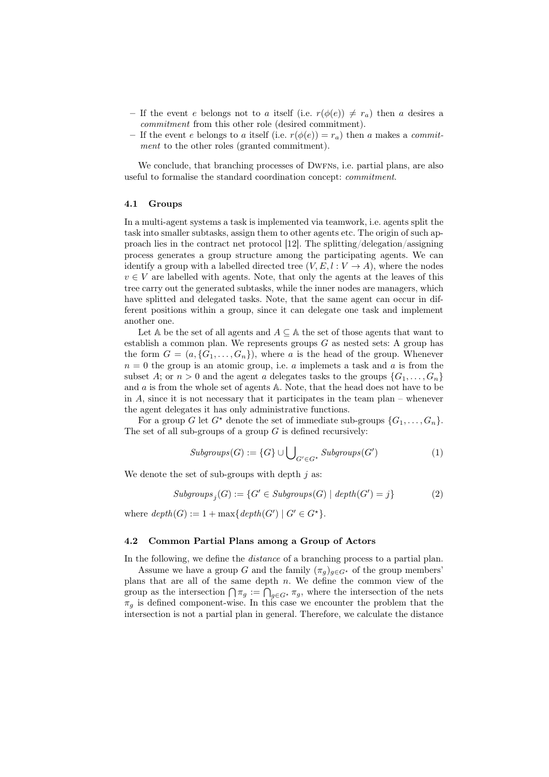- If the event e belongs not to a itself (i.e.  $r(\phi(e)) \neq r_a$ ) then a desires a *commitment* from this other role (desired commitment).
- If the event e belongs to a itself (i.e.  $r(\phi(e)) = r_a$ ) then a makes a *commitment* to the other roles (granted commitment).

We conclude, that branching processes of DWFNs, i.e. partial plans, are also useful to formalise the standard coordination concept: *commitment*.

#### 4.1 Groups

In a multi-agent systems a task is implemented via teamwork, i.e. agents split the task into smaller subtasks, assign them to other agents etc. The origin of such approach lies in the contract net protocol [12]. The splitting/delegation/assigning process generates a group structure among the participating agents. We can identify a group with a labelled directed tree  $(V, E, l : V \to A)$ , where the nodes  $v \in V$  are labelled with agents. Note, that only the agents at the leaves of this tree carry out the generated subtasks, while the inner nodes are managers, which have splitted and delegated tasks. Note, that the same agent can occur in different positions within a group, since it can delegate one task and implement another one.

Let A be the set of all agents and  $A \subseteq A$  the set of those agents that want to establish a common plan. We represents groups  $G$  as nested sets: A group has the form  $G = (a, \{G_1, \ldots, G_n\})$ , where a is the head of the group. Whenever  $n = 0$  the group is an atomic group, i.e. a implemets a task and a is from the subset A; or  $n > 0$  and the agent a delegates tasks to the groups  $\{G_1, \ldots, G_n\}$ and a is from the whole set of agents A. Note, that the head does not have to be in  $A$ , since it is not necessary that it participates in the team plan – whenever the agent delegates it has only administrative functions.

For a group G let  $G^*$  denote the set of immediate sub-groups  $\{G_1, \ldots, G_n\}$ . The set of all sub-groups of a group  $G$  is defined recursively:

$$
Subgroups(G) := \{G\} \cup \bigcup_{G' \in G^*} Subgroups(G') \tag{1}
$$

We denote the set of sub-groups with depth  $j$  as:

$$
Subgroups_j(G) := \{G' \in Subgroups(G) \mid depth(G') = j\}
$$
\n<sup>(2)</sup>

where  $depth(G) := 1 + \max\{depth(G') \mid G' \in G^{\star}\}.$ 

#### 4.2 Common Partial Plans among a Group of Actors

In the following, we define the *distance* of a branching process to a partial plan.

Assume we have a group G and the family  $(\pi_q)_{q\in G^*}$  of the group members' plans that are all of the same depth  $n$ . We define the common view of the group as the intersection  $\bigcap \pi_g := \bigcap_{g \in G^*} \pi_g$ , where the intersection of the nets  $\pi_q$  is defined component-wise. In this case we encounter the problem that the intersection is not a partial plan in general. Therefore, we calculate the distance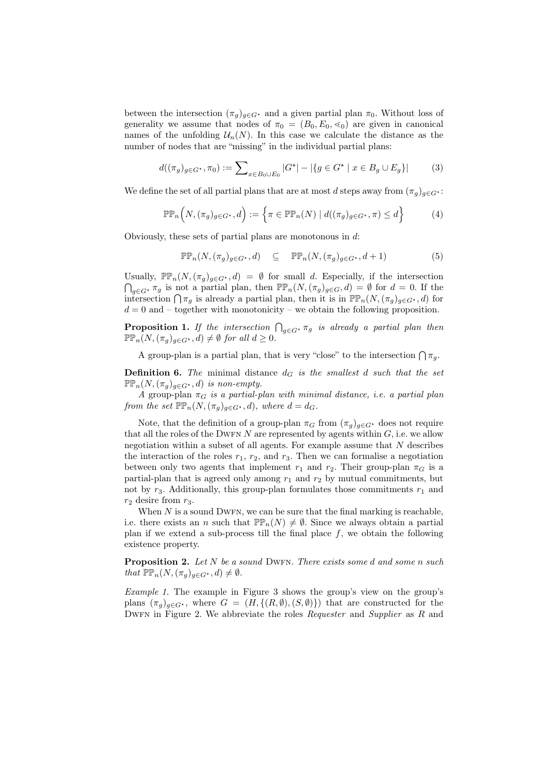between the intersection  $(\pi_g)_{g \in G^*}$  and a given partial plan  $\pi_0$ . Without loss of generality we assume that nodes of  $\pi_0 = (B_0, E_0, \leq_0)$  are given in canonical names of the unfolding  $\mathcal{U}_n(N)$ . In this case we calculate the distance as the number of nodes that are "missing" in the individual partial plans:

$$
d((\pi_g)_{g \in G^*}, \pi_0) := \sum_{x \in B_0 \cup E_0} |G^*| - |\{ g \in G^* \mid x \in B_g \cup E_g \}| \tag{3}
$$

We define the set of all partial plans that are at most d steps away from  $(\pi_q)_{q\in G^*}$ :

$$
\mathbb{P}\mathbb{P}_n\Big(N,(\pi_g)_{g\in G^*},d\Big):=\Big\{\pi\in\mathbb{P}\mathbb{P}_n(N)\mid d((\pi_g)_{g\in G^*},\pi)\leq d\Big\}\tag{4}
$$

Obviously, these sets of partial plans are monotonous in d:

$$
\mathbb{PP}_n(N, (\pi_g)_{g \in G^*}, d) \subseteq \mathbb{PP}_n(N, (\pi_g)_{g \in G^*}, d+1)
$$
 (5)

Usually,  $\mathbb{PP}_n(N,(\pi_g)_{g\in G^*},d) = \emptyset$  for small d. Especially, if the intersection  $\bigcap_{g\in G^*} \pi_g$  is not a partial plan, then  $\mathbb{PP}_n(N, (\pi_g)_{g\in G}, d) = \emptyset$  for  $d = 0$ . If the intersection  $\bigcap \pi_g$  is already a partial plan, then it is in  $\mathbb{PP}_n(N,(\pi_g)_{g\in G^*},d)$  for  $d = 0$  and – together with monotonicity – we obtain the following proposition.

**Proposition 1.** If the intersection  $\bigcap_{g \in G^*} \pi_g$  is already a partial plan then  $\mathbb{PP}_n(N, (\pi_q)_{q \in G^*}, d) \neq \emptyset$  for all  $d \geq 0$ .

A group-plan is a partial plan, that is very "close" to the intersection  $\bigcap \pi_g$ .

**Definition 6.** The minimal distance  $d_G$  is the smallest d such that the set  $\mathbb{PP}_n(N, (\pi_q)_{q \in G^*}, d)$  *is non-empty.* 

*A* group-plan  $\pi_G$  *is a partial-plan with minimal distance, i.e. a partial plan from the set*  $\mathbb{P}_{n}(N, (\pi_g)_{g \in G^*}, d)$ *, where*  $d = d_G$ *.* 

Note, that the definition of a group-plan  $\pi_G$  from  $(\pi_q)_{q \in G^*}$  does not require that all the roles of the DWFN N are represented by agents within  $G$ , i.e. we allow negotiation within a subset of all agents. For example assume that  $N$  describes the interaction of the roles  $r_1, r_2$ , and  $r_3$ . Then we can formalise a negotiation between only two agents that implement  $r_1$  and  $r_2$ . Their group-plan  $\pi_G$  is a partial-plan that is agreed only among  $r_1$  and  $r_2$  by mutual commitments, but not by  $r_3$ . Additionally, this group-plan formulates those commitments  $r_1$  and  $r_2$  desire from  $r_3$ .

When  $N$  is a sound DWFN, we can be sure that the final marking is reachable, i.e. there exists an n such that  $\mathbb{PP}_n(N) \neq \emptyset$ . Since we always obtain a partial plan if we extend a sub-process till the final place  $f$ , we obtain the following existence property.

Proposition 2. *Let* N *be a sound* Dwfn*. There exists some* d *and some* n *such that*  $\mathbb{PP}_n(N, (\pi_q)_{q \in G^*}, d) \neq \emptyset$ .

*Example 1.* The example in Figure 3 shows the group's view on the group's plans  $(\pi_q)_{q\in G^*}$ , where  $G = (H, \{(R, \emptyset), (S, \emptyset)\})$  that are constructed for the Dwfn in Figure 2. We abbreviate the roles *Requester* and *Supplier* as R and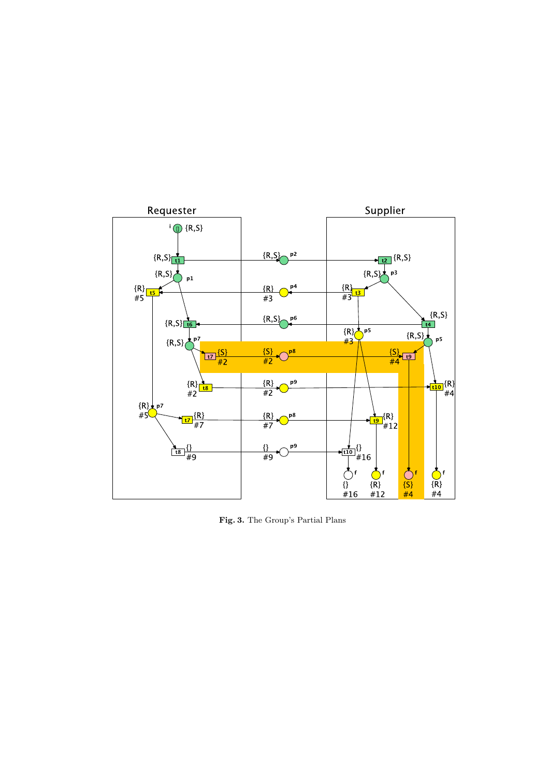

Fig. 3. The Group's Partial Plans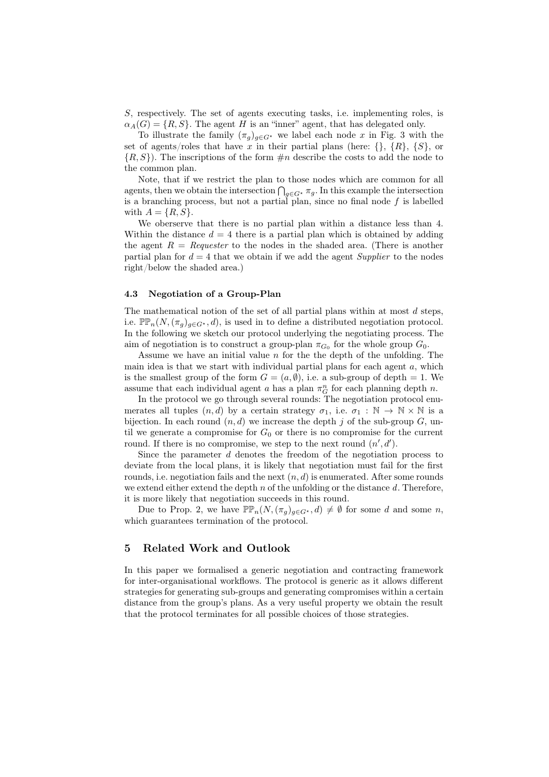S, respectively. The set of agents executing tasks, i.e. implementing roles, is  $\alpha_A(G) = \{R, S\}$ . The agent H is an "inner" agent, that has delegated only.

To illustrate the family  $(\pi_g)_{g \in G^*}$  we label each node x in Fig. 3 with the set of agents/roles that have x in their partial plans (here:  $\{\}, \{R\}, \{S\},$  or  $\{R, S\}$ . The inscriptions of the form  $\#n$  describe the costs to add the node to the common plan.

Note, that if we restrict the plan to those nodes which are common for all agents, then we obtain the intersection  $\bigcap_{g \in G^*} \pi_g$ . In this example the intersection is a branching process, but not a partial plan, since no final node  $f$  is labelled with  $A = \{R, S\}.$ 

We oberserve that there is no partial plan within a distance less than 4. Within the distance  $d = 4$  there is a partial plan which is obtained by adding the agent  $R = \text{Requester}$  to the nodes in the shaded area. (There is another partial plan for  $d = 4$  that we obtain if we add the agent *Supplier* to the nodes right/below the shaded area.)

#### 4.3 Negotiation of a Group-Plan

The mathematical notion of the set of all partial plans within at most  $d$  steps, i.e.  $\mathbb{PP}_n(N,(\pi_q)_{q\in G^*},d)$ , is used in to define a distributed negotiation protocol. In the following we sketch our protocol underlying the negotiating process. The aim of negotiation is to construct a group-plan  $\pi_{G_0}$  for the whole group  $G_0$ .

Assume we have an initial value  $n$  for the the depth of the unfolding. The main idea is that we start with individual partial plans for each agent  $a$ , which is the smallest group of the form  $G = (a, \emptyset)$ , i.e. a sub-group of depth = 1. We assume that each individual agent a has a plan  $\pi_G^n$  for each planning depth n.

In the protocol we go through several rounds: The negotiation protocol enumerates all tuples  $(n, d)$  by a certain strategy  $\sigma_1$ , i.e.  $\sigma_1 : \mathbb{N} \to \mathbb{N} \times \mathbb{N}$  is a bijection. In each round  $(n, d)$  we increase the depth j of the sub-group G, until we generate a compromise for  $G_0$  or there is no compromise for the current round. If there is no compromise, we step to the next round  $(n', d')$ .

Since the parameter d denotes the freedom of the negotiation process to deviate from the local plans, it is likely that negotiation must fail for the first rounds, i.e. negotiation fails and the next  $(n, d)$  is enumerated. After some rounds we extend either extend the depth  $n$  of the unfolding or the distance  $d$ . Therefore, it is more likely that negotiation succeeds in this round.

Due to Prop. 2, we have  $\mathbb{PP}_n(N, (\pi_q)_{q \in G^*}, d) \neq \emptyset$  for some d and some n, which guarantees termination of the protocol.

## 5 Related Work and Outlook

In this paper we formalised a generic negotiation and contracting framework for inter-organisational workflows. The protocol is generic as it allows different strategies for generating sub-groups and generating compromises within a certain distance from the group's plans. As a very useful property we obtain the result that the protocol terminates for all possible choices of those strategies.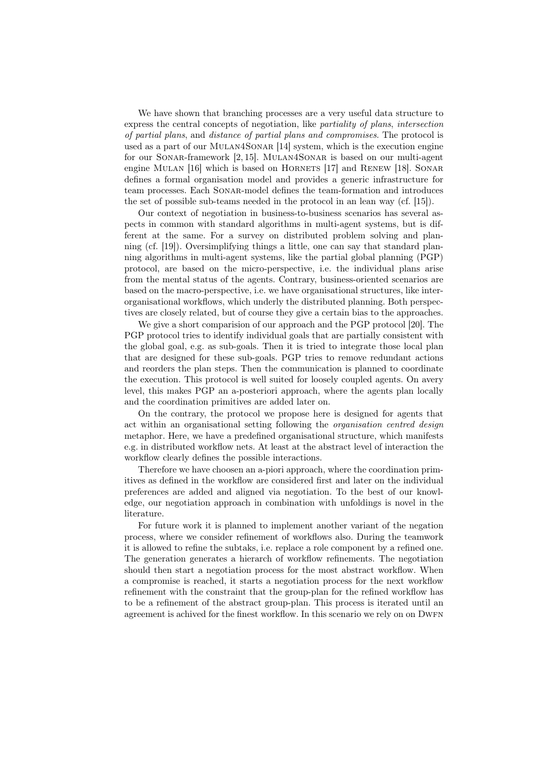We have shown that branching processes are a very useful data structure to express the central concepts of negotiation, like *partiality of plans*, *intersection of partial plans*, and *distance of partial plans and compromises*. The protocol is used as a part of our Mulan4Sonar [14] system, which is the execution engine for our Sonar-framework [2, 15]. Mulan4Sonar is based on our multi-agent engine MULAN [16] which is based on HORNETS [17] and RENEW [18]. SONAR defines a formal organisation model and provides a generic infrastructure for team processes. Each Sonar-model defines the team-formation and introduces the set of possible sub-teams needed in the protocol in an lean way (cf. [15]).

Our context of negotiation in business-to-business scenarios has several aspects in common with standard algorithms in multi-agent systems, but is different at the same. For a survey on distributed problem solving and planning (cf. [19]). Oversimplifying things a little, one can say that standard planning algorithms in multi-agent systems, like the partial global planning (PGP) protocol, are based on the micro-perspective, i.e. the individual plans arise from the mental status of the agents. Contrary, business-oriented scenarios are based on the macro-perspective, i.e. we have organisational structures, like interorganisational workflows, which underly the distributed planning. Both perspectives are closely related, but of course they give a certain bias to the approaches.

We give a short comparision of our approach and the PGP protocol [20]. The PGP protocol tries to identify individual goals that are partially consistent with the global goal, e.g. as sub-goals. Then it is tried to integrate those local plan that are designed for these sub-goals. PGP tries to remove redundant actions and reorders the plan steps. Then the communication is planned to coordinate the execution. This protocol is well suited for loosely coupled agents. On avery level, this makes PGP an a-posteriori approach, where the agents plan locally and the coordination primitives are added later on.

On the contrary, the protocol we propose here is designed for agents that act within an organisational setting following the *organisation centred design* metaphor. Here, we have a predefined organisational structure, which manifests e.g. in distributed workflow nets. At least at the abstract level of interaction the workflow clearly defines the possible interactions.

Therefore we have choosen an a-piori approach, where the coordination primitives as defined in the workflow are considered first and later on the individual preferences are added and aligned via negotiation. To the best of our knowledge, our negotiation approach in combination with unfoldings is novel in the literature.

For future work it is planned to implement another variant of the negation process, where we consider refinement of workflows also. During the teamwork it is allowed to refine the subtaks, i.e. replace a role component by a refined one. The generation generates a hierarch of workflow refinements. The negotiation should then start a negotiation process for the most abstract workflow. When a compromise is reached, it starts a negotiation process for the next workflow refinement with the constraint that the group-plan for the refined workflow has to be a refinement of the abstract group-plan. This process is iterated until an agreement is achived for the finest workflow. In this scenario we rely on on DWFN